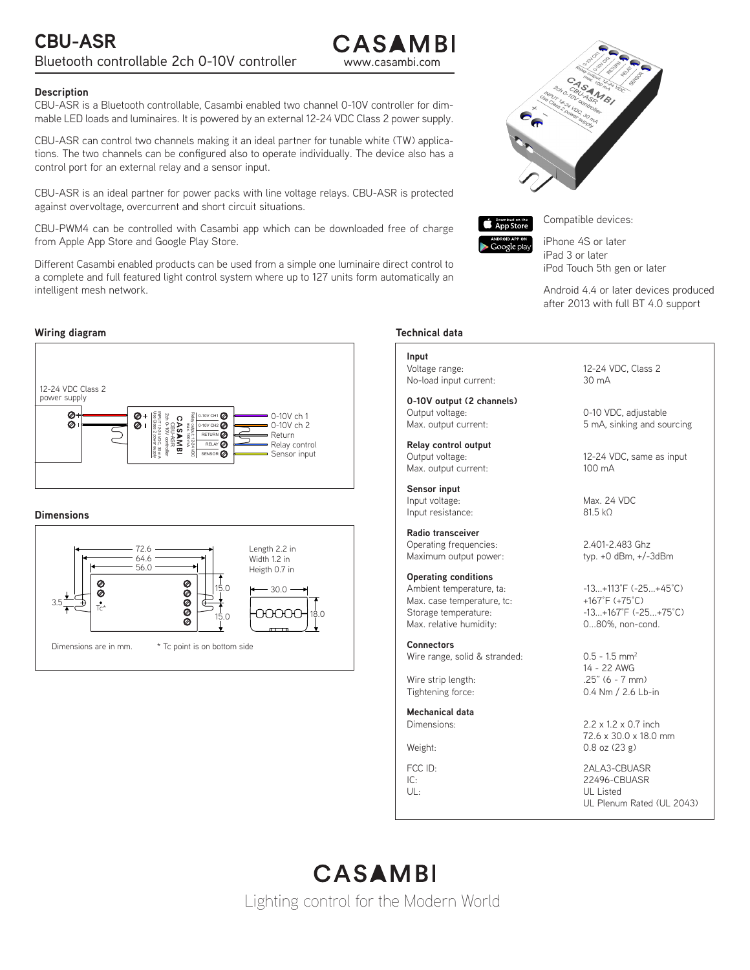:ASAMBI

## **Description**

CBU-ASR is a Bluetooth controllable, Casambi enabled two channel 0-10V controller for dimmable LED loads and luminaires. It is powered by an external 12-24 VDC Class 2 power supply.

CBU-ASR can control two channels making it an ideal partner for tunable white (TW) applications. The two channels can be configured also to operate individually. The device also has a control port for an external relay and a sensor input.

CBU-ASR is an ideal partner for power packs with line voltage relays. CBU-ASR is protected against overvoltage, overcurrent and short circuit situations.

CBU-PWM4 can be controlled with Casambi app which can be downloaded free of charge from Apple App Store and Google Play Store.

Different Casambi enabled products can be used from a simple one luminaire direct control to a complete and full featured light control system where up to 127 units form automatically an intelligent mesh network.

## **Wiring diagram**



## **Dimensions**







Compatible devices:

iPhone 4S or later iPad 3 or later iPod Touch 5th gen or later

Android 4.4 or later devices produced after 2013 with full BT 4.0 support

## **Technical data**

#### **Input**

Voltage range: 12-24 VDC, Class 2 No-load input current: 30 mA

**0-10V output (2 channels)** Output voltage: 0-10 VDC, adjustable Max. output current:  $\overline{5}$  mA, sinking and sourcing

**Relay control output** Max. output current: 100 mA

**Sensor input** Input voltage: Max. 24 VDC Input resistance: 81.5 kΩ

**Radio transceiver** Operating frequencies: 2.401-2.483 Ghz Maximum output power: typ. +0 dBm, +/-3dBm

**Operating conditions** Ambient temperature, ta:  $-13...+113°F (-25...+45°C)$ Max. case temperature, tc: +167°F (+75°C) Storage temperature:  $-13...+167°F (-25...+75°C)$ Max. relative humidity: 0...80%, non-cond.

**Connectors** Wire range, solid & stranded: 0.5 - 1.5 mm<sup>2</sup>

Wire strip length:

**Mechanical data**

12-24 VDC, same as input

14 - 22 AWG<br>.25" (6 - 7 mm) Tightening force: 0.4 Nm / 2.6 Lb-in

Dimensions: 2.2 x 1.2 x 0.7 inch 72.6 x 30.0 x 18.0 mm Weight: 0.8 oz (23 g)

FCC ID: 2ALA3-CBUASR 22496-CBUASR UL: UL Listed UL Plenum Rated (UL 2043)

# CASAMBI Lighting control for the Modern World